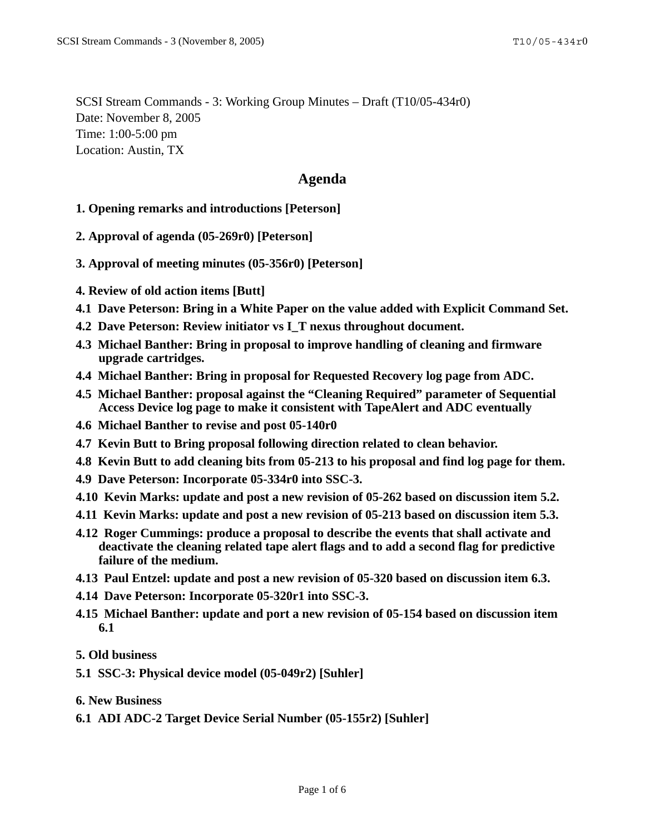SCSI Stream Commands - 3: Working Group Minutes – Draft (T10/05-434r0) Date: November 8, 2005 Time: 1:00-5:00 pm Location: Austin, TX

# **Agenda**

- **1. Opening remarks and introductions [Peterson]**
- **2. Approval of agenda (05-269r0) [Peterson]**
- **3. Approval of meeting minutes (05-356r0) [Peterson]**
- **4. Review of old action items [Butt]**
- **4.1 Dave Peterson: Bring in a White Paper on the value added with Explicit Command Set.**
- **4.2 Dave Peterson: Review initiator vs I\_T nexus throughout document.**
- **4.3 Michael Banther: Bring in proposal to improve handling of cleaning and firmware upgrade cartridges.**
- **4.4 Michael Banther: Bring in proposal for Requested Recovery log page from ADC.**
- **4.5 Michael Banther: proposal against the "Cleaning Required" parameter of Sequential Access Device log page to make it consistent with TapeAlert and ADC eventually**
- **4.6 Michael Banther to revise and post 05-140r0**
- **4.7 Kevin Butt to Bring proposal following direction related to clean behavior.**
- **4.8 Kevin Butt to add cleaning bits from 05-213 to his proposal and find log page for them.**
- **4.9 Dave Peterson: Incorporate 05-334r0 into SSC-3.**
- **4.10 Kevin Marks: update and post a new revision of 05-262 based on discussion item 5.2.**
- **4.11 Kevin Marks: update and post a new revision of 05-213 based on discussion item 5.3.**
- **4.12 Roger Cummings: produce a proposal to describe the events that shall activate and deactivate the cleaning related tape alert flags and to add a second flag for predictive failure of the medium.**
- **4.13 Paul Entzel: update and post a new revision of 05-320 based on discussion item 6.3.**
- **4.14 Dave Peterson: Incorporate 05-320r1 into SSC-3.**
- **4.15 Michael Banther: update and port a new revision of 05-154 based on discussion item 6.1**
- **5. Old business**
- **5.1 SSC-3: Physical device model (05-049r2) [Suhler]**
- **6. New Business**
- **6.1 ADI ADC-2 Target Device Serial Number (05-155r2) [Suhler]**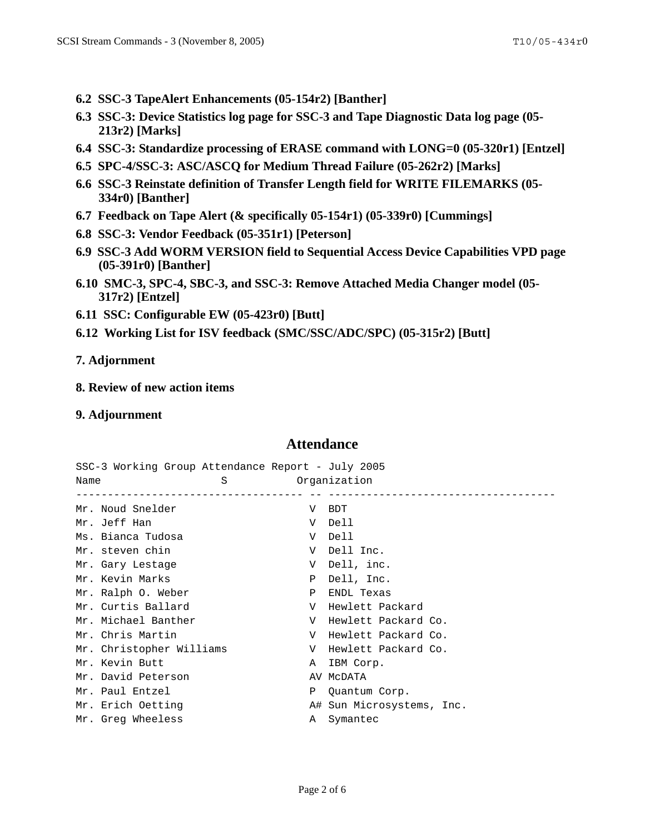- **6.2 SSC-3 TapeAlert Enhancements (05-154r2) [Banther]**
- **6.3 SSC-3: Device Statistics log page for SSC-3 and Tape Diagnostic Data log page (05- 213r2) [Marks]**
- **6.4 SSC-3: Standardize processing of ERASE command with LONG=0 (05-320r1) [Entzel]**
- **6.5 SPC-4/SSC-3: ASC/ASCQ for Medium Thread Failure (05-262r2) [Marks]**
- **6.6 SSC-3 Reinstate definition of Transfer Length field for WRITE FILEMARKS (05- 334r0) [Banther]**
- **6.7 Feedback on Tape Alert (& specifically 05-154r1) (05-339r0) [Cummings]**
- **6.8 SSC-3: Vendor Feedback (05-351r1) [Peterson]**
- **6.9 SSC-3 Add WORM VERSION field to Sequential Access Device Capabilities VPD page (05-391r0) [Banther]**
- **6.10 SMC-3, SPC-4, SBC-3, and SSC-3: Remove Attached Media Changer model (05- 317r2) [Entzel]**
- **6.11 SSC: Configurable EW (05-423r0) [Butt]**
- **6.12 Working List for ISV feedback (SMC/SSC/ADC/SPC) (05-315r2) [Butt]**
- **7. Adjornment**
- **8. Review of new action items**
- **9. Adjournment**

#### **Attendance**

SSC-3 Working Group Attendance Report - July 2005 Name S S Organization

| Mr. Noud Snelder         | V         | <b>BDT</b>                |
|--------------------------|-----------|---------------------------|
| Mr. Jeff Han             | V         | Dell                      |
| Ms. Bianca Tudosa        | V         | Dell                      |
| Mr. steven chin          | V         | Dell Inc.                 |
| Mr. Gary Lestage         | V         | Dell, inc.                |
| Mr. Kevin Marks          | Ρ         | Dell, Inc.                |
| Mr. Ralph O. Weber       | Ρ         | ENDL Texas                |
| Mr. Curtis Ballard       | $V_{\rm}$ | Hewlett Packard           |
| Mr. Michael Banther      | V         | Hewlett Packard Co.       |
| Mr. Chris Martin         | V         | Hewlett Packard Co.       |
| Mr. Christopher Williams | V         | Hewlett Packard Co.       |
| Mr. Kevin Butt           | A         | IBM Corp.                 |
| Mr. David Peterson       |           | AV MCDATA                 |
| Mr. Paul Entzel          | Ρ         | Ouantum Corp.             |
| Mr. Erich Oetting        |           | A# Sun Microsystems, Inc. |
| Mr. Greg Wheeless        | A         | Symantec                  |
|                          |           |                           |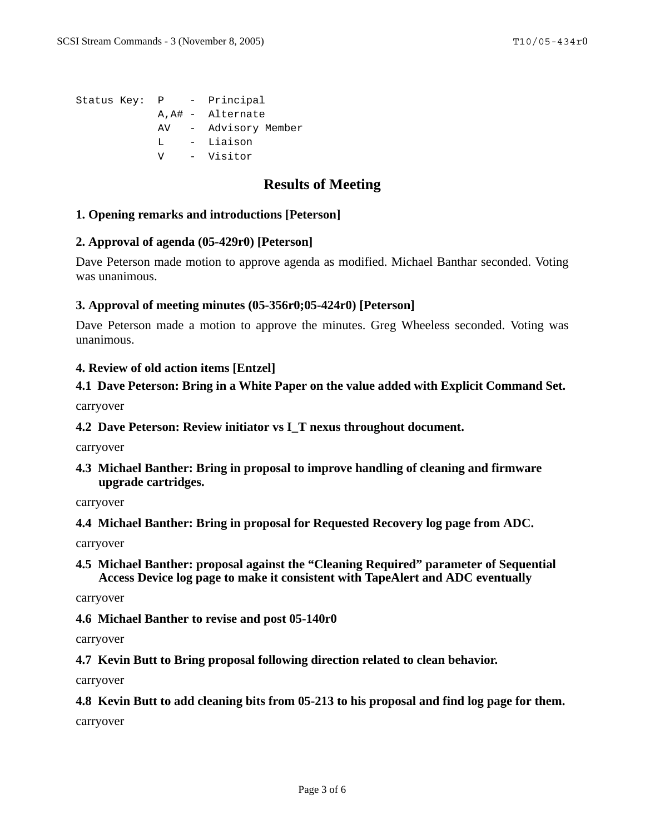```
Status Key: P - Principal
A,A# - Alternate
 AV - Advisory Member
 L - Liaison
 V - Visitor
```
# **Results of Meeting**

#### **1. Opening remarks and introductions [Peterson]**

#### **2. Approval of agenda (05-429r0) [Peterson]**

Dave Peterson made motion to approve agenda as modified. Michael Banthar seconded. Voting was unanimous.

#### **3. Approval of meeting minutes (05-356r0;05-424r0) [Peterson]**

Dave Peterson made a motion to approve the minutes. Greg Wheeless seconded. Voting was unanimous.

#### **4. Review of old action items [Entzel]**

## **4.1 Dave Peterson: Bring in a White Paper on the value added with Explicit Command Set.**

carryover

## **4.2 Dave Peterson: Review initiator vs I\_T nexus throughout document.**

carryover

**4.3 Michael Banther: Bring in proposal to improve handling of cleaning and firmware upgrade cartridges.**

carryover

**4.4 Michael Banther: Bring in proposal for Requested Recovery log page from ADC.**

carryover

**4.5 Michael Banther: proposal against the "Cleaning Required" parameter of Sequential Access Device log page to make it consistent with TapeAlert and ADC eventually**

carryover

**4.6 Michael Banther to revise and post 05-140r0**

carryover

**4.7 Kevin Butt to Bring proposal following direction related to clean behavior.**

carryover

#### **4.8 Kevin Butt to add cleaning bits from 05-213 to his proposal and find log page for them.**

carryover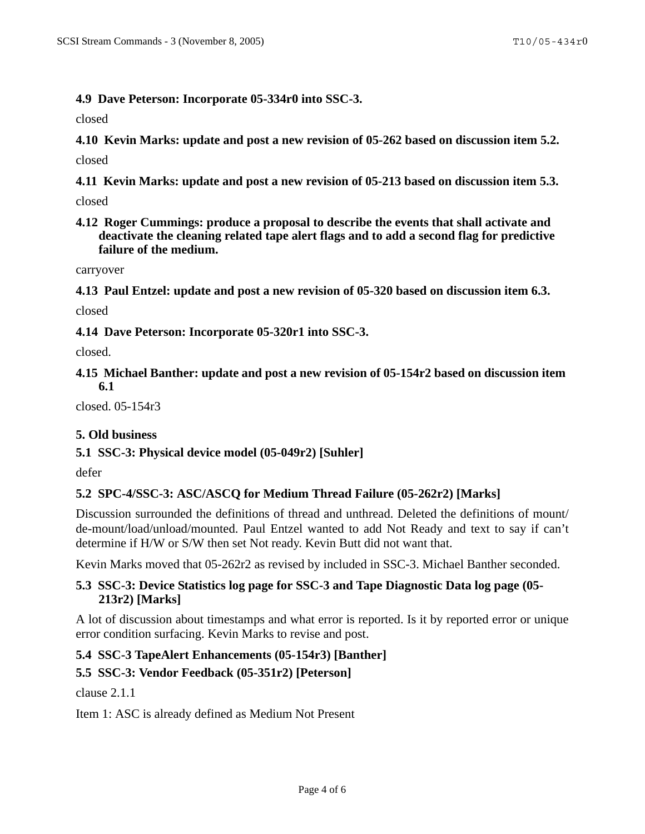## **4.9 Dave Peterson: Incorporate 05-334r0 into SSC-3.**

closed

**4.10 Kevin Marks: update and post a new revision of 05-262 based on discussion item 5.2.** closed

**4.11 Kevin Marks: update and post a new revision of 05-213 based on discussion item 5.3.**

closed

**4.12 Roger Cummings: produce a proposal to describe the events that shall activate and deactivate the cleaning related tape alert flags and to add a second flag for predictive failure of the medium.**

carryover

**4.13 Paul Entzel: update and post a new revision of 05-320 based on discussion item 6.3.**

closed

**4.14 Dave Peterson: Incorporate 05-320r1 into SSC-3.**

closed.

**4.15 Michael Banther: update and post a new revision of 05-154r2 based on discussion item 6.1**

closed. 05-154r3

## **5. Old business**

## **5.1 SSC-3: Physical device model (05-049r2) [Suhler]**

defer

## **5.2 SPC-4/SSC-3: ASC/ASCQ for Medium Thread Failure (05-262r2) [Marks]**

Discussion surrounded the definitions of thread and unthread. Deleted the definitions of mount/ de-mount/load/unload/mounted. Paul Entzel wanted to add Not Ready and text to say if can't determine if H/W or S/W then set Not ready. Kevin Butt did not want that.

Kevin Marks moved that 05-262r2 as revised by included in SSC-3. Michael Banther seconded.

## **5.3 SSC-3: Device Statistics log page for SSC-3 and Tape Diagnostic Data log page (05- 213r2) [Marks]**

A lot of discussion about timestamps and what error is reported. Is it by reported error or unique error condition surfacing. Kevin Marks to revise and post.

# **5.4 SSC-3 TapeAlert Enhancements (05-154r3) [Banther]**

## **5.5 SSC-3: Vendor Feedback (05-351r2) [Peterson]**

clause 2.1.1

Item 1: ASC is already defined as Medium Not Present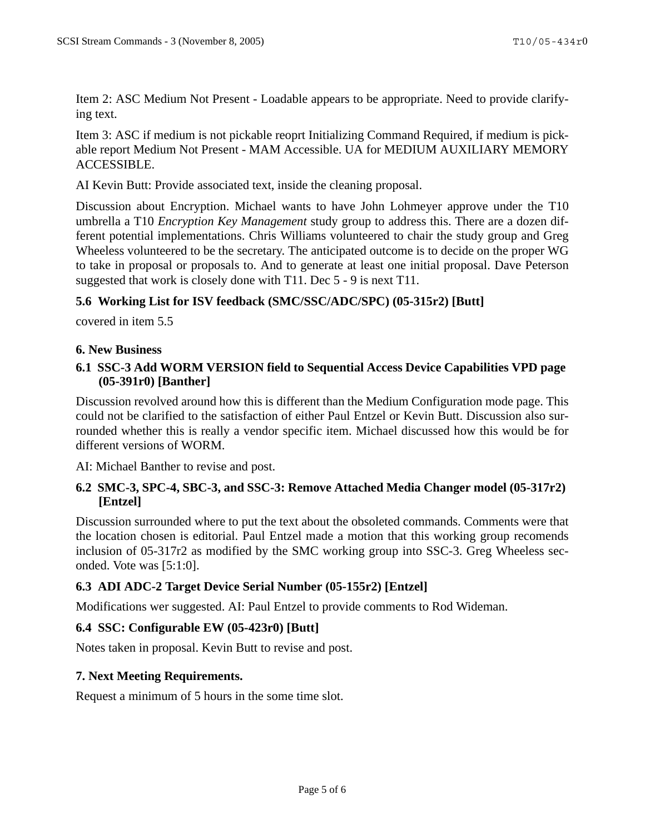Item 2: ASC Medium Not Present - Loadable appears to be appropriate. Need to provide clarifying text.

Item 3: ASC if medium is not pickable reoprt Initializing Command Required, if medium is pickable report Medium Not Present - MAM Accessible. UA for MEDIUM AUXILIARY MEMORY ACCESSIBLE.

AI Kevin Butt: Provide associated text, inside the cleaning proposal.

Discussion about Encryption. Michael wants to have John Lohmeyer approve under the T10 umbrella a T10 *Encryption Key Management* study group to address this. There are a dozen different potential implementations. Chris Williams volunteered to chair the study group and Greg Wheeless volunteered to be the secretary. The anticipated outcome is to decide on the proper WG to take in proposal or proposals to. And to generate at least one initial proposal. Dave Peterson suggested that work is closely done with T11. Dec 5 - 9 is next T11.

# **5.6 Working List for ISV feedback (SMC/SSC/ADC/SPC) (05-315r2) [Butt]**

covered in item 5.5

## **6. New Business**

# **6.1 SSC-3 Add WORM VERSION field to Sequential Access Device Capabilities VPD page (05-391r0) [Banther]**

Discussion revolved around how this is different than the Medium Configuration mode page. This could not be clarified to the satisfaction of either Paul Entzel or Kevin Butt. Discussion also surrounded whether this is really a vendor specific item. Michael discussed how this would be for different versions of WORM.

AI: Michael Banther to revise and post.

## **6.2 SMC-3, SPC-4, SBC-3, and SSC-3: Remove Attached Media Changer model (05-317r2) [Entzel]**

Discussion surrounded where to put the text about the obsoleted commands. Comments were that the location chosen is editorial. Paul Entzel made a motion that this working group recomends inclusion of 05-317r2 as modified by the SMC working group into SSC-3. Greg Wheeless seconded. Vote was [5:1:0].

# **6.3 ADI ADC-2 Target Device Serial Number (05-155r2) [Entzel]**

Modifications wer suggested. AI: Paul Entzel to provide comments to Rod Wideman.

# **6.4 SSC: Configurable EW (05-423r0) [Butt]**

Notes taken in proposal. Kevin Butt to revise and post.

## **7. Next Meeting Requirements.**

Request a minimum of 5 hours in the some time slot.